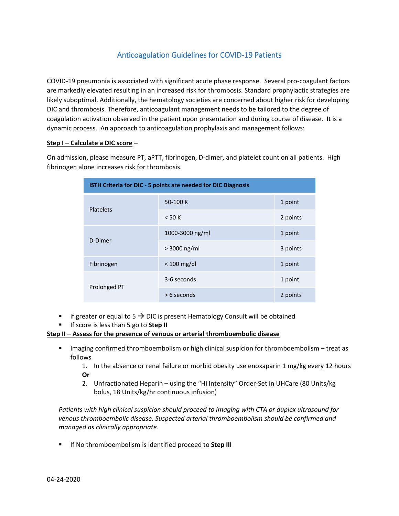# Anticoagulation Guidelines for COVID-19 Patients

COVID-19 pneumonia is associated with significant acute phase response. Several pro-coagulant factors are markedly elevated resulting in an increased risk for thrombosis. Standard prophylactic strategies are likely suboptimal. Additionally, the hematology societies are concerned about higher risk for developing DIC and thrombosis. Therefore, anticoagulant management needs to be tailored to the degree of coagulation activation observed in the patient upon presentation and during course of disease. It is a dynamic process. An approach to anticoagulation prophylaxis and management follows:

#### **Step I – Calculate a DIC score –**

On admission, please measure PT, aPTT, fibrinogen, D-dimer, and platelet count on all patients. High fibrinogen alone increases risk for thrombosis.

| ISTH Criteria for DIC - 5 points are needed for DIC Diagnosis |                 |          |  |
|---------------------------------------------------------------|-----------------|----------|--|
| <b>Platelets</b>                                              | 50-100 K        | 1 point  |  |
|                                                               | $<$ 50 K        | 2 points |  |
| D-Dimer                                                       | 1000-3000 ng/ml | 1 point  |  |
|                                                               | $> 3000$ ng/ml  | 3 points |  |
| Fibrinogen                                                    | $< 100$ mg/dl   | 1 point  |  |
| Prolonged PT                                                  | 3-6 seconds     | 1 point  |  |
|                                                               | $> 6$ seconds   | 2 points |  |

- **i** if greater or equal to  $5 \rightarrow$  DIC is present Hematology Consult will be obtained
- If score is less than 5 go to **Step II**

#### **Step II – Assess for the presence of venous or arterial thromboembolic disease**

■ Imaging confirmed thromboembolism or high clinical suspicion for thromboembolism – treat as follows

1. In the absence or renal failure or morbid obesity use enoxaparin 1 mg/kg every 12 hours **Or**

2. Unfractionated Heparin – using the "Hi Intensity" Order-Set in UHCare (80 Units/kg bolus, 18 Units/kg/hr continuous infusion)

*Patients with high clinical suspicion should proceed to imaging with CTA or duplex ultrasound for venous thromboembolic disease. Suspected arterial thromboembolism should be confirmed and managed as clinically appropriate*.

**If No thromboembolism is identified proceed to Step III**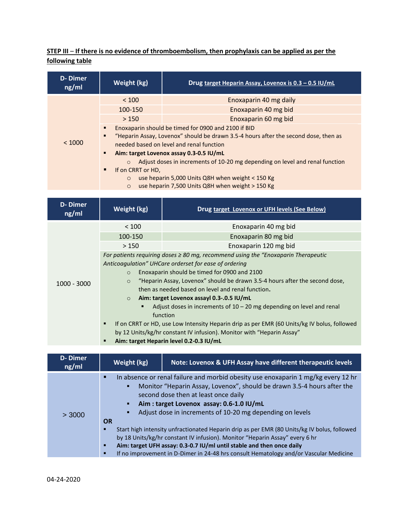## **STEP III** – **If there is no evidence of thromboembolism, then prophylaxis can be applied as per the following table**

| <b>D-Dimer</b><br>ng/ml | Weight (kg)                                                                                                                                                                                                                                                                                                                                                                                                                                                                                    | Drug target Heparin Assay, Lovenox is 0.3 - 0.5 IU/mL |  |
|-------------------------|------------------------------------------------------------------------------------------------------------------------------------------------------------------------------------------------------------------------------------------------------------------------------------------------------------------------------------------------------------------------------------------------------------------------------------------------------------------------------------------------|-------------------------------------------------------|--|
|                         | < 100                                                                                                                                                                                                                                                                                                                                                                                                                                                                                          | Enoxaparin 40 mg daily                                |  |
|                         | 100-150                                                                                                                                                                                                                                                                                                                                                                                                                                                                                        | Enoxaparin 40 mg bid                                  |  |
|                         | >150                                                                                                                                                                                                                                                                                                                                                                                                                                                                                           | Enoxaparin 60 mg bid                                  |  |
| < 1000                  | Enoxaparin should be timed for 0900 and 2100 if BID<br>"Heparin Assay, Lovenox" should be drawn 3.5-4 hours after the second dose, then as<br>٠<br>needed based on level and renal function<br>Aim: target Lovenox assay 0.3-0.5 IU/mL<br>٠<br>Adjust doses in increments of 10-20 mg depending on level and renal function<br>$\circ$<br>If on CRRT or HD,<br>٠<br>use heparin 5,000 Units Q8H when weight < 150 Kg<br>$\circ$<br>use heparin 7,500 Units Q8H when weight > 150 Kg<br>$\circ$ |                                                       |  |

| D-Dimer<br>ng/ml | Weight (kg)                                                                                      | Drug target Lovenox or UFH levels (See Below)                                           |
|------------------|--------------------------------------------------------------------------------------------------|-----------------------------------------------------------------------------------------|
| $1000 - 3000$    | < 100                                                                                            | Enoxaparin 40 mg bid                                                                    |
|                  | 100-150                                                                                          | Enoxaparin 80 mg bid                                                                    |
|                  | >150                                                                                             | Enoxaparin 120 mg bid                                                                   |
|                  |                                                                                                  | For patients requiring doses $\geq 80$ mg, recommend using the "Enoxaparin Therapeutic" |
|                  | Anticoagulation" UHCare orderset for ease of ordering                                            |                                                                                         |
|                  | Enoxaparin should be timed for 0900 and 2100<br>$\circ$                                          |                                                                                         |
|                  | $\circ$                                                                                          | "Heparin Assay, Lovenox" should be drawn 3.5-4 hours after the second dose,             |
|                  |                                                                                                  | then as needed based on level and renal function.                                       |
|                  |                                                                                                  | $\circ$ Aim: target Lovenox assayl 0.3-.0.5 IU/mL                                       |
|                  |                                                                                                  | Adjust doses in increments of $10 - 20$ mg depending on level and renal                 |
|                  |                                                                                                  | function                                                                                |
|                  | If on CRRT or HD, use Low Intensity Heparin drip as per EMR (60 Units/kg IV bolus, followed<br>٠ |                                                                                         |
|                  | by 12 Units/kg/hr constant IV infusion). Monitor with "Heparin Assay"                            |                                                                                         |
|                  |                                                                                                  | Aim: target Heparin level 0.2-0.3 IU/mL                                                 |

| <b>D-Dimer</b><br>ng/ml | Weight (kg)                                                                                                                                                                                                                                                                                                                     | <b>Note: Lovenox &amp; UFH Assay have different therapeutic levels</b>                                                                                                                                                                                                                                                                       |
|-------------------------|---------------------------------------------------------------------------------------------------------------------------------------------------------------------------------------------------------------------------------------------------------------------------------------------------------------------------------|----------------------------------------------------------------------------------------------------------------------------------------------------------------------------------------------------------------------------------------------------------------------------------------------------------------------------------------------|
| > 3000                  | In absence or renal failure and morbid obesity use enoxaparin 1 mg/kg every 12 hr<br>п<br>Monitor "Heparin Assay, Lovenox", should be drawn 3.5-4 hours after the<br>second dose then at least once daily<br>Aim: target Lovenox assay: 0.6-1.0 IU/mL<br>Adjust dose in increments of 10-20 mg depending on levels<br><b>OR</b> |                                                                                                                                                                                                                                                                                                                                              |
|                         | п<br>п<br>п                                                                                                                                                                                                                                                                                                                     | Start high intensity unfractionated Heparin drip as per EMR (80 Units/kg IV bolus, followed<br>by 18 Units/kg/hr constant IV infusion). Monitor "Heparin Assay" every 6 hr<br>Aim: target UFH assay: 0.3-0.7 IU/ml until stable and then once daily<br>If no improvement in D-Dimer in 24-48 hrs consult Hematology and/or Vascular Medicine |